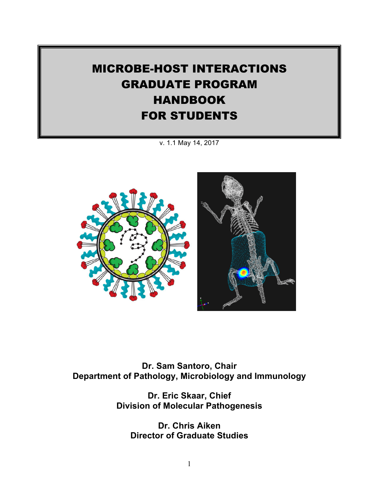# MICROBE-HOST INTERACTIONS GRADUATE PROGRAM HANDBOOK FOR STUDENTS

v. 1.1 May 14, 2017



**Dr. Sam Santoro, Chair Department of Pathology, Microbiology and Immunology**

> **Dr. Eric Skaar, Chief Division of Molecular Pathogenesis**

**Dr. Chris Aiken Director of Graduate Studies**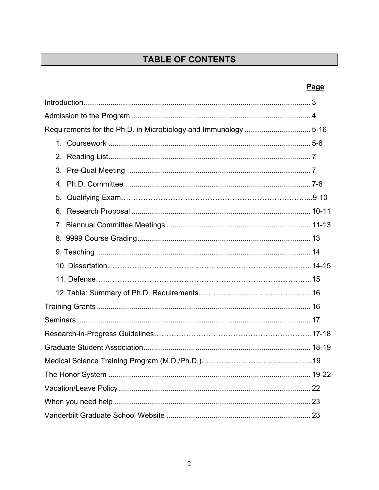## TABLE OF CONTENTS

## Page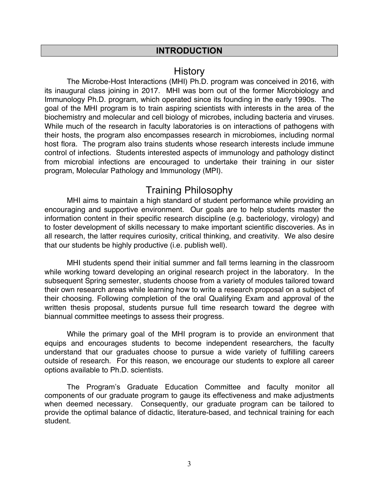#### **INTRODUCTION**

## **History**

The Microbe-Host Interactions (MHI) Ph.D. program was conceived in 2016, with its inaugural class joining in 2017. MHI was born out of the former Microbiology and Immunology Ph.D. program, which operated since its founding in the early 1990s. The goal of the MHI program is to train aspiring scientists with interests in the area of the biochemistry and molecular and cell biology of microbes, including bacteria and viruses. While much of the research in faculty laboratories is on interactions of pathogens with their hosts, the program also encompasses research in microbiomes, including normal host flora. The program also trains students whose research interests include immune control of infections. Students interested aspects of immunology and pathology distinct from microbial infections are encouraged to undertake their training in our sister program, Molecular Pathology and Immunology (MPI).

## Training Philosophy

MHI aims to maintain a high standard of student performance while providing an encouraging and supportive environment. Our goals are to help students master the information content in their specific research discipline (e.g. bacteriology, virology) and to foster development of skills necessary to make important scientific discoveries. As in all research, the latter requires curiosity, critical thinking, and creativity. We also desire that our students be highly productive (i.e. publish well).

MHI students spend their initial summer and fall terms learning in the classroom while working toward developing an original research project in the laboratory. In the subsequent Spring semester, students choose from a variety of modules tailored toward their own research areas while learning how to write a research proposal on a subject of their choosing. Following completion of the oral Qualifying Exam and approval of the written thesis proposal, students pursue full time research toward the degree with biannual committee meetings to assess their progress.

While the primary goal of the MHI program is to provide an environment that equips and encourages students to become independent researchers, the faculty understand that our graduates choose to pursue a wide variety of fulfilling careers outside of research. For this reason, we encourage our students to explore all career options available to Ph.D. scientists.

The Program's Graduate Education Committee and faculty monitor all components of our graduate program to gauge its effectiveness and make adjustments when deemed necessary. Consequently, our graduate program can be tailored to provide the optimal balance of didactic, literature-based, and technical training for each student.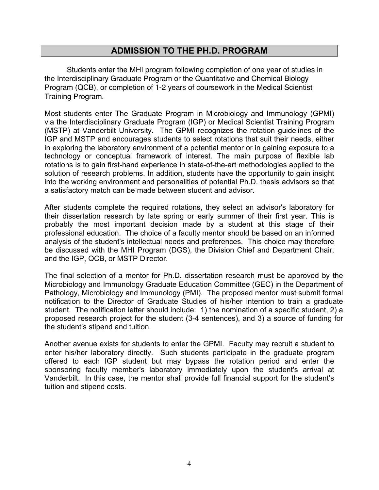## **ADMISSION TO THE PH.D. PROGRAM**

Students enter the MHI program following completion of one year of studies in the Interdisciplinary Graduate Program or the Quantitative and Chemical Biology Program (QCB), or completion of 1-2 years of coursework in the Medical Scientist Training Program.

Most students enter The Graduate Program in Microbiology and Immunology (GPMI) via the Interdisciplinary Graduate Program (IGP) or Medical Scientist Training Program (MSTP) at Vanderbilt University. The GPMI recognizes the rotation guidelines of the IGP and MSTP and encourages students to select rotations that suit their needs, either in exploring the laboratory environment of a potential mentor or in gaining exposure to a technology or conceptual framework of interest. The main purpose of flexible lab rotations is to gain first-hand experience in state-of-the-art methodologies applied to the solution of research problems. In addition, students have the opportunity to gain insight into the working environment and personalities of potential Ph.D. thesis advisors so that a satisfactory match can be made between student and advisor.

After students complete the required rotations, they select an advisor's laboratory for their dissertation research by late spring or early summer of their first year. This is probably the most important decision made by a student at this stage of their professional education. The choice of a faculty mentor should be based on an informed analysis of the student's intellectual needs and preferences. This choice may therefore be discussed with the MHI Program (DGS), the Division Chief and Department Chair, and the IGP, QCB, or MSTP Director.

The final selection of a mentor for Ph.D. dissertation research must be approved by the Microbiology and Immunology Graduate Education Committee (GEC) in the Department of Pathology, Microbiology and Immunology (PMI). The proposed mentor must submit formal notification to the Director of Graduate Studies of his/her intention to train a graduate student. The notification letter should include: 1) the nomination of a specific student, 2) a proposed research project for the student (3-4 sentences), and 3) a source of funding for the student's stipend and tuition.

Another avenue exists for students to enter the GPMI. Faculty may recruit a student to enter his/her laboratory directly. Such students participate in the graduate program offered to each IGP student but may bypass the rotation period and enter the sponsoring faculty member's laboratory immediately upon the student's arrival at Vanderbilt. In this case, the mentor shall provide full financial support for the student's tuition and stipend costs.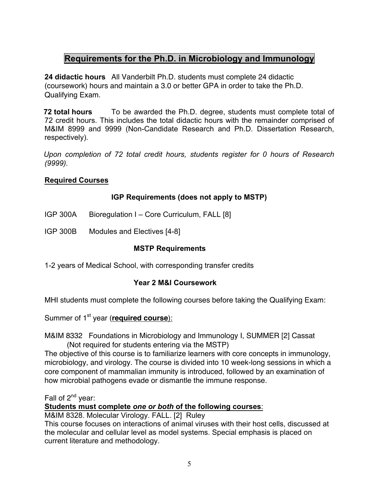## **Requirements for the Ph.D. in Microbiology and Immunology**

**24 didactic hours** All Vanderbilt Ph.D. students must complete 24 didactic (coursework) hours and maintain a 3.0 or better GPA in order to take the Ph.D. Qualifying Exam.

**72 total hours** To be awarded the Ph.D. degree, students must complete total of 72 credit hours. This includes the total didactic hours with the remainder comprised of M&IM 8999 and 9999 (Non-Candidate Research and Ph.D. Dissertation Research, respectively).

*Upon completion of 72 total credit hours, students register for 0 hours of Research (9999).* 

#### **Required Courses**

#### **IGP Requirements (does not apply to MSTP)**

- IGP 300A Bioregulation I Core Curriculum, FALL [8]
- IGP 300B Modules and Electives [4-8]

#### **MSTP Requirements**

1-2 years of Medical School, with corresponding transfer credits

#### **Year 2 M&I Coursework**

MHI students must complete the following courses before taking the Qualifying Exam:

Summer of 1<sup>st</sup> year (**required course**):

M&IM 8332 Foundations in Microbiology and Immunology I, SUMMER [2] Cassat (Not required for students entering via the MSTP)

The objective of this course is to familiarize learners with core concepts in immunology, microbiology, and virology. The course is divided into 10 week-long sessions in which a core component of mammalian immunity is introduced, followed by an examination of how microbial pathogens evade or dismantle the immune response.

Fall of 2<sup>nd</sup> year:

**Students must complete** *one or both* **of the following courses**:

M&IM 8328. Molecular Virology. FALL. [2] Ruley

This course focuses on interactions of animal viruses with their host cells, discussed at the molecular and cellular level as model systems. Special emphasis is placed on current literature and methodology.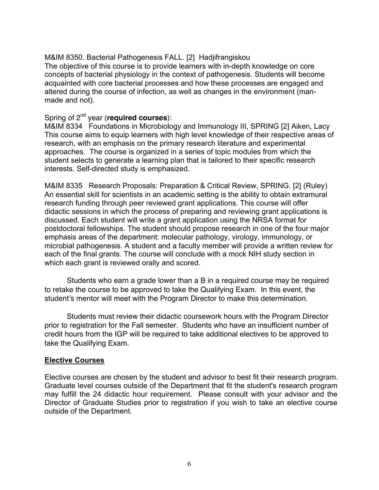#### M&IM 8350. Bacterial Pathogenesis FALL. [2] Hadjifrangiskou

The objective of this course is to provide learners with in-depth knowledge on core concepts of bacterial physiology in the context of pathogenesis. Students will become acquainted with core bacterial processes and how these processes are engaged and altered during the course of infection, as well as changes in the environment (manmade and not).

#### Spring of 2nd year (**required courses**):

M&IM 8334 Foundations in Microbiology and Immunology III, SPRING [2] Aiken, Lacy This course aims to equip learners with high level knowledge of their respective areas of research, with an emphasis on the primary research literature and experimental approaches. The course is organized in a series of topic modules from which the student selects to generate a learning plan that is tailored to their specific research interests. Self-directed study is emphasized.

M&IM 8335 Research Proposals: Preparation & Critical Review, SPRING. [2] (Ruley) An essential skill for scientists in an academic setting is the ability to obtain extramural research funding through peer reviewed grant applications. This course will offer didactic sessions in which the process of preparing and reviewing grant applications is discussed. Each student will write a grant application using the NRSA format for postdoctoral fellowships. The student should propose research in one of the four major emphasis areas of the department: molecular pathology, virology, immunology, or microbial pathogenesis. A student and a faculty member will provide a written review for each of the final grants. The course will conclude with a mock NIH study section in which each grant is reviewed orally and scored.

Students who earn a grade lower than a B in a required course may be required to retake the course to be approved to take the Qualifying Exam. In this event, the student's mentor will meet with the Program Director to make this determination.

Students must review their didactic coursework hours with the Program Director prior to registration for the Fall semester. Students who have an insufficient number of credit hours from the IGP will be required to take additional electives to be approved to take the Qualifying Exam.

#### **Elective Courses**

Elective courses are chosen by the student and advisor to best fit their research program. Graduate level courses outside of the Department that fit the student's research program may fulfill the 24 didactic hour requirement. Please consult with your advisor and the Director of Graduate Studies prior to registration if you wish to take an elective course outside of the Department.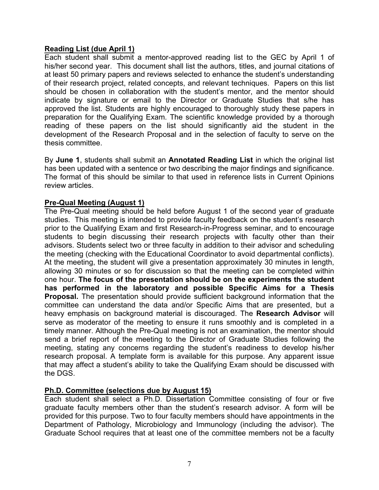#### **Reading List (due April 1)**

Each student shall submit a mentor-approved reading list to the GEC by April 1 of his/her second year. This document shall list the authors, titles, and journal citations of at least 50 primary papers and reviews selected to enhance the student's understanding of their research project, related concepts, and relevant techniques. Papers on this list should be chosen in collaboration with the student's mentor, and the mentor should indicate by signature or email to the Director or Graduate Studies that s/he has approved the list. Students are highly encouraged to thoroughly study these papers in preparation for the Qualifying Exam. The scientific knowledge provided by a thorough reading of these papers on the list should significantly aid the student in the development of the Research Proposal and in the selection of faculty to serve on the thesis committee.

By **June 1**, students shall submit an **Annotated Reading List** in which the original list has been updated with a sentence or two describing the major findings and significance. The format of this should be similar to that used in reference lists in Current Opinions review articles.

#### **Pre-Qual Meeting (August 1)**

The Pre-Qual meeting should be held before August 1 of the second year of graduate studies. This meeting is intended to provide faculty feedback on the student's research prior to the Qualifying Exam and first Research-in-Progress seminar, and to encourage students to begin discussing their research projects with faculty other than their advisors. Students select two or three faculty in addition to their advisor and scheduling the meeting (checking with the Educational Coordinator to avoid departmental conflicts). At the meeting, the student will give a presentation approximately 30 minutes in length, allowing 30 minutes or so for discussion so that the meeting can be completed within one hour. **The focus of the presentation should be on the experiments the student has performed in the laboratory and possible Specific Aims for a Thesis Proposal.** The presentation should provide sufficient background information that the committee can understand the data and/or Specific Aims that are presented, but a heavy emphasis on background material is discouraged. The **Research Advisor** will serve as moderator of the meeting to ensure it runs smoothly and is completed in a timely manner. Although the Pre-Qual meeting is not an examination, the mentor should send a brief report of the meeting to the Director of Graduate Studies following the meeting, stating any concerns regarding the student's readiness to develop his/her research proposal. A template form is available for this purpose. Any apparent issue that may affect a student's ability to take the Qualifying Exam should be discussed with the DGS.

#### **Ph.D. Committee (selections due by August 15)**

Each student shall select a Ph.D. Dissertation Committee consisting of four or five graduate faculty members other than the student's research advisor. A form will be provided for this purpose. Two to four faculty members should have appointments in the Department of Pathology, Microbiology and Immunology (including the advisor). The Graduate School requires that at least one of the committee members not be a faculty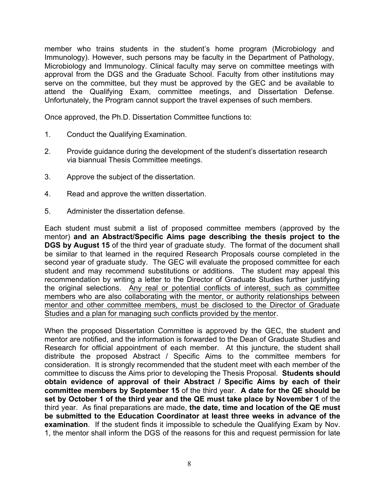member who trains students in the student's home program (Microbiology and Immunology). However, such persons may be faculty in the Department of Pathology, Microbiology and Immunology. Clinical faculty may serve on committee meetings with approval from the DGS and the Graduate School. Faculty from other institutions may serve on the committee, but they must be approved by the GEC and be available to attend the Qualifying Exam, committee meetings, and Dissertation Defense. Unfortunately, the Program cannot support the travel expenses of such members.

Once approved, the Ph.D. Dissertation Committee functions to:

- 1. Conduct the Qualifying Examination.
- 2. Provide guidance during the development of the student's dissertation research via biannual Thesis Committee meetings.
- 3. Approve the subject of the dissertation.
- 4. Read and approve the written dissertation.
- 5. Administer the dissertation defense.

Each student must submit a list of proposed committee members (approved by the mentor) **and an Abstract/Specific Aims page describing the thesis project to the DGS by August 15** of the third year of graduate study. The format of the document shall be similar to that learned in the required Research Proposals course completed in the second year of graduate study. The GEC will evaluate the proposed committee for each student and may recommend substitutions or additions. The student may appeal this recommendation by writing a letter to the Director of Graduate Studies further justifying the original selections. Any real or potential conflicts of interest, such as committee members who are also collaborating with the mentor, or authority relationships between mentor and other committee members, must be disclosed to the Director of Graduate Studies and a plan for managing such conflicts provided by the mentor.

When the proposed Dissertation Committee is approved by the GEC, the student and mentor are notified, and the information is forwarded to the Dean of Graduate Studies and Research for official appointment of each member. At this juncture, the student shall distribute the proposed Abstract / Specific Aims to the committee members for consideration. It is strongly recommended that the student meet with each member of the committee to discuss the Aims prior to developing the Thesis Proposal. **Students should obtain evidence of approval of their Abstract / Specific Aims by each of their committee members by September 15** of the third year. **A date for the QE should be set by October 1 of the third year and the QE must take place by November 1** of the third year. As final preparations are made, **the date, time and location of the QE must be submitted to the Education Coordinator at least three weeks in advance of the examination**. If the student finds it impossible to schedule the Qualifying Exam by Nov. 1, the mentor shall inform the DGS of the reasons for this and request permission for late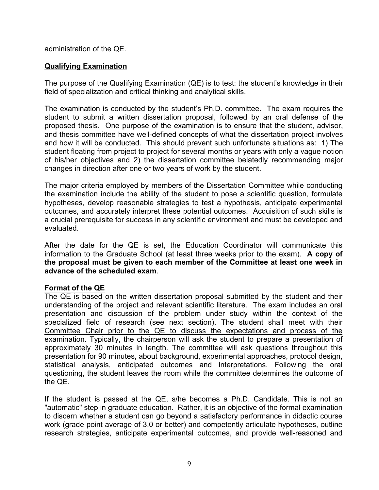administration of the QE.

#### **Qualifying Examination**

The purpose of the Qualifying Examination (QE) is to test: the student's knowledge in their field of specialization and critical thinking and analytical skills.

The examination is conducted by the student's Ph.D. committee. The exam requires the student to submit a written dissertation proposal, followed by an oral defense of the proposed thesis. One purpose of the examination is to ensure that the student, advisor, and thesis committee have well-defined concepts of what the dissertation project involves and how it will be conducted. This should prevent such unfortunate situations as: 1) The student floating from project to project for several months or years with only a vague notion of his/her objectives and 2) the dissertation committee belatedly recommending major changes in direction after one or two years of work by the student.

The major criteria employed by members of the Dissertation Committee while conducting the examination include the ability of the student to pose a scientific question, formulate hypotheses, develop reasonable strategies to test a hypothesis, anticipate experimental outcomes, and accurately interpret these potential outcomes. Acquisition of such skills is a crucial prerequisite for success in any scientific environment and must be developed and evaluated.

After the date for the QE is set, the Education Coordinator will communicate this information to the Graduate School (at least three weeks prior to the exam). **A copy of the proposal must be given to each member of the Committee at least one week in advance of the scheduled exam**.

#### **Format of the QE**

The QE is based on the written dissertation proposal submitted by the student and their understanding of the project and relevant scientific literature. The exam includes an oral presentation and discussion of the problem under study within the context of the specialized field of research (see next section). The student shall meet with their Committee Chair prior to the QE to discuss the expectations and process of the examination. Typically, the chairperson will ask the student to prepare a presentation of approximately 30 minutes in length. The committee will ask questions throughout this presentation for 90 minutes, about background, experimental approaches, protocol design, statistical analysis, anticipated outcomes and interpretations. Following the oral questioning, the student leaves the room while the committee determines the outcome of the QE.

If the student is passed at the QE, s/he becomes a Ph.D. Candidate. This is not an "automatic" step in graduate education. Rather, it is an objective of the formal examination to discern whether a student can go beyond a satisfactory performance in didactic course work (grade point average of 3.0 or better) and competently articulate hypotheses, outline research strategies, anticipate experimental outcomes, and provide well-reasoned and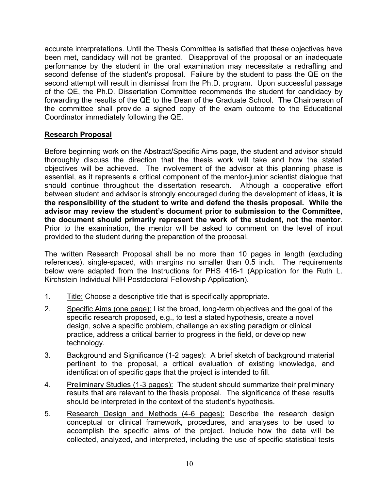accurate interpretations. Until the Thesis Committee is satisfied that these objectives have been met, candidacy will not be granted. Disapproval of the proposal or an inadequate performance by the student in the oral examination may necessitate a redrafting and second defense of the student's proposal. Failure by the student to pass the QE on the second attempt will result in dismissal from the Ph.D. program. Upon successful passage of the QE, the Ph.D. Dissertation Committee recommends the student for candidacy by forwarding the results of the QE to the Dean of the Graduate School. The Chairperson of the committee shall provide a signed copy of the exam outcome to the Educational Coordinator immediately following the QE.

#### **Research Proposal**

Before beginning work on the Abstract/Specific Aims page, the student and advisor should thoroughly discuss the direction that the thesis work will take and how the stated objectives will be achieved. The involvement of the advisor at this planning phase is essential, as it represents a critical component of the mentor-junior scientist dialogue that should continue throughout the dissertation research. Although a cooperative effort between student and advisor is strongly encouraged during the development of ideas, **it is the responsibility of the student to write and defend the thesis proposal. While the advisor may review the student's document prior to submission to the Committee, the document should primarily represent the work of the student, not the mentor**. Prior to the examination, the mentor will be asked to comment on the level of input provided to the student during the preparation of the proposal.

The written Research Proposal shall be no more than 10 pages in length (excluding references), single-spaced, with margins no smaller than 0.5 inch. The requirements below were adapted from the Instructions for PHS 416-1 (Application for the Ruth L. Kirchstein Individual NIH Postdoctoral Fellowship Application).

- 1. Title: Choose a descriptive title that is specifically appropriate.
- 2. Specific Aims (one page): List the broad, long-term objectives and the goal of the specific research proposed, e.g., to test a stated hypothesis, create a novel design, solve a specific problem, challenge an existing paradigm or clinical practice, address a critical barrier to progress in the field, or develop new technology.
- 3. Background and Significance (1-2 pages): A brief sketch of background material pertinent to the proposal, a critical evaluation of existing knowledge, and identification of specific gaps that the project is intended to fill.
- 4. Preliminary Studies (1-3 pages): The student should summarize their preliminary results that are relevant to the thesis proposal. The significance of these results should be interpreted in the context of the student's hypothesis.
- 5. Research Design and Methods (4-6 pages): Describe the research design conceptual or clinical framework, procedures, and analyses to be used to accomplish the specific aims of the project. Include how the data will be collected, analyzed, and interpreted, including the use of specific statistical tests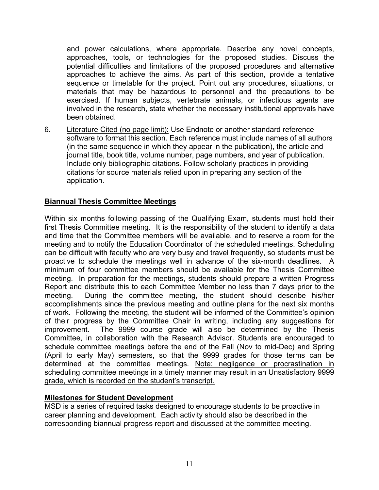and power calculations, where appropriate. Describe any novel concepts, approaches, tools, or technologies for the proposed studies. Discuss the potential difficulties and limitations of the proposed procedures and alternative approaches to achieve the aims. As part of this section, provide a tentative sequence or timetable for the project. Point out any procedures, situations, or materials that may be hazardous to personnel and the precautions to be exercised. If human subjects, vertebrate animals, or infectious agents are involved in the research, state whether the necessary institutional approvals have been obtained.

6. Literature Cited (no page limit): Use Endnote or another standard reference software to format this section. Each reference must include names of all authors (in the same sequence in which they appear in the publication), the article and journal title, book title, volume number, page numbers, and year of publication. Include only bibliographic citations. Follow scholarly practices in providing citations for source materials relied upon in preparing any section of the application.

#### **Biannual Thesis Committee Meetings**

Within six months following passing of the Qualifying Exam, students must hold their first Thesis Committee meeting. It is the responsibility of the student to identify a data and time that the Committee members will be available, and to reserve a room for the meeting and to notify the Education Coordinator of the scheduled meetings. Scheduling can be difficult with faculty who are very busy and travel frequently, so students must be proactive to schedule the meetings well in advance of the six-month deadlines. A minimum of four committee members should be available for the Thesis Committee meeting. In preparation for the meetings, students should prepare a written Progress Report and distribute this to each Committee Member no less than 7 days prior to the meeting. During the committee meeting, the student should describe his/her accomplishments since the previous meeting and outline plans for the next six months of work. Following the meeting, the student will be informed of the Committee's opinion of their progress by the Committee Chair in writing, including any suggestions for improvement. The 9999 course grade will also be determined by the Thesis Committee, in collaboration with the Research Advisor. Students are encouraged to schedule committee meetings before the end of the Fall (Nov to mid-Dec) and Spring (April to early May) semesters, so that the 9999 grades for those terms can be determined at the committee meetings. Note: negligence or procrastination in scheduling committee meetings in a timely manner may result in an Unsatisfactory 9999 grade, which is recorded on the student's transcript.

#### **Milestones for Student Development**

MSD is a series of required tasks designed to encourage students to be proactive in career planning and development. Each activity should also be described in the corresponding biannual progress report and discussed at the committee meeting.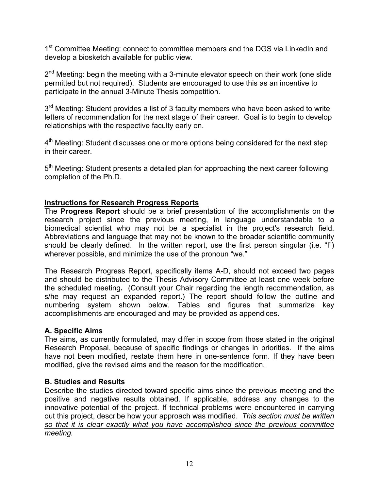1<sup>st</sup> Committee Meeting: connect to committee members and the DGS via LinkedIn and develop a biosketch available for public view.

 $2<sup>nd</sup>$  Meeting: begin the meeting with a 3-minute elevator speech on their work (one slide permitted but not required). Students are encouraged to use this as an incentive to participate in the annual 3-Minute Thesis competition.

 $3<sup>rd</sup>$  Meeting: Student provides a list of 3 faculty members who have been asked to write letters of recommendation for the next stage of their career. Goal is to begin to develop relationships with the respective faculty early on.

 $4<sup>th</sup>$  Meeting: Student discusses one or more options being considered for the next step in their career.

5<sup>th</sup> Meeting: Student presents a detailed plan for approaching the next career following completion of the Ph.D.

#### **Instructions for Research Progress Reports**

The **Progress Report** should be a brief presentation of the accomplishments on the research project since the previous meeting, in language understandable to a biomedical scientist who may not be a specialist in the project's research field. Abbreviations and language that may not be known to the broader scientific community should be clearly defined. In the written report, use the first person singular (i.e. "I") wherever possible, and minimize the use of the pronoun "we."

The Research Progress Report, specifically items A-D, should not exceed two pages and should be distributed to the Thesis Advisory Committee at least one week before the scheduled meeting**.** (Consult your Chair regarding the length recommendation, as s/he may request an expanded report.) The report should follow the outline and numbering system shown below. Tables and figures that summarize key accomplishments are encouraged and may be provided as appendices.

#### **A. Specific Aims**

The aims, as currently formulated, may differ in scope from those stated in the original Research Proposal, because of specific findings or changes in priorities. If the aims have not been modified, restate them here in one-sentence form. If they have been modified, give the revised aims and the reason for the modification.

#### **B. Studies and Results**

Describe the studies directed toward specific aims since the previous meeting and the positive and negative results obtained. If applicable, address any changes to the innovative potential of the project. If technical problems were encountered in carrying out this project, describe how your approach was modified. *This section must be written so that it is clear exactly what you have accomplished since the previous committee meeting.*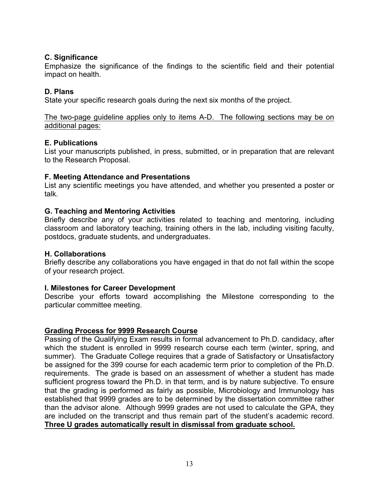#### **C. Significance**

Emphasize the significance of the findings to the scientific field and their potential impact on health.

#### **D. Plans**

State your specific research goals during the next six months of the project.

The two-page guideline applies only to items A-D. The following sections may be on additional pages:

#### **E. Publications**

List your manuscripts published, in press, submitted, or in preparation that are relevant to the Research Proposal.

#### **F. Meeting Attendance and Presentations**

List any scientific meetings you have attended, and whether you presented a poster or talk.

#### **G. Teaching and Mentoring Activities**

Briefly describe any of your activities related to teaching and mentoring, including classroom and laboratory teaching, training others in the lab, including visiting faculty, postdocs, graduate students, and undergraduates.

#### **H. Collaborations**

Briefly describe any collaborations you have engaged in that do not fall within the scope of your research project.

#### **I. Milestones for Career Development**

Describe your efforts toward accomplishing the Milestone corresponding to the particular committee meeting.

#### **Grading Process for 9999 Research Course**

Passing of the Qualifying Exam results in formal advancement to Ph.D. candidacy, after which the student is enrolled in 9999 research course each term (winter, spring, and summer). The Graduate College requires that a grade of Satisfactory or Unsatisfactory be assigned for the 399 course for each academic term prior to completion of the Ph.D. requirements. The grade is based on an assessment of whether a student has made sufficient progress toward the Ph.D. in that term, and is by nature subjective. To ensure that the grading is performed as fairly as possible, Microbiology and Immunology has established that 9999 grades are to be determined by the dissertation committee rather than the advisor alone. Although 9999 grades are not used to calculate the GPA, they are included on the transcript and thus remain part of the student's academic record. **Three U grades automatically result in dismissal from graduate school.**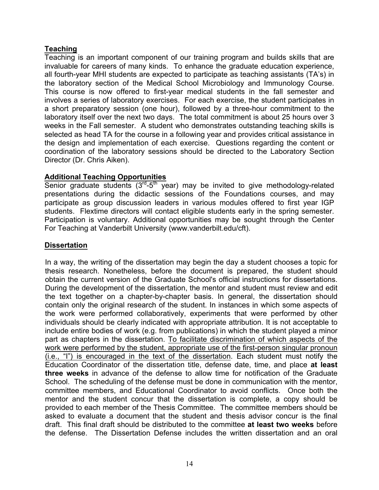#### **Teaching**

Teaching is an important component of our training program and builds skills that are invaluable for careers of many kinds. To enhance the graduate education experience, all fourth-year MHI students are expected to participate as teaching assistants (TA's) in the laboratory section of the Medical School Microbiology and Immunology Course. This course is now offered to first-year medical students in the fall semester and involves a series of laboratory exercises. For each exercise, the student participates in a short preparatory session (one hour), followed by a three-hour commitment to the laboratory itself over the next two days. The total commitment is about 25 hours over 3 weeks in the Fall semester. A student who demonstrates outstanding teaching skills is selected as head TA for the course in a following year and provides critical assistance in the design and implementation of each exercise. Questions regarding the content or coordination of the laboratory sessions should be directed to the Laboratory Section Director (Dr. Chris Aiken).

#### **Additional Teaching Opportunities**

Senior graduate students  $(3^{rd}-5^{th}$  year) may be invited to give methodology-related presentations during the didactic sessions of the Foundations courses, and may participate as group discussion leaders in various modules offered to first year IGP students. Flextime directors will contact eligible students early in the spring semester. Participation is voluntary. Additional opportunities may be sought through the Center For Teaching at Vanderbilt University (www.vanderbilt.edu/cft).

#### **Dissertation**

In a way, the writing of the dissertation may begin the day a student chooses a topic for thesis research. Nonetheless, before the document is prepared, the student should obtain the current version of the Graduate School's official instructions for dissertations. During the development of the dissertation, the mentor and student must review and edit the text together on a chapter-by-chapter basis. In general, the dissertation should contain only the original research of the student. In instances in which some aspects of the work were performed collaboratively, experiments that were performed by other individuals should be clearly indicated with appropriate attribution. It is not acceptable to include entire bodies of work (e.g. from publications) in which the student played a minor part as chapters in the dissertation. To facilitate discrimination of which aspects of the work were performed by the student, appropriate use of the first-person singular pronoun (i.e., "I") is encouraged in the text of the dissertation. Each student must notify the Education Coordinator of the dissertation title, defense date, time, and place **at least three weeks** in advance of the defense to allow time for notification of the Graduate School. The scheduling of the defense must be done in communication with the mentor, committee members, and Educational Coordinator to avoid conflicts. Once both the mentor and the student concur that the dissertation is complete, a copy should be provided to each member of the Thesis Committee. The committee members should be asked to evaluate a document that the student and thesis advisor concur is the final draft. This final draft should be distributed to the committee **at least two weeks** before the defense. The Dissertation Defense includes the written dissertation and an oral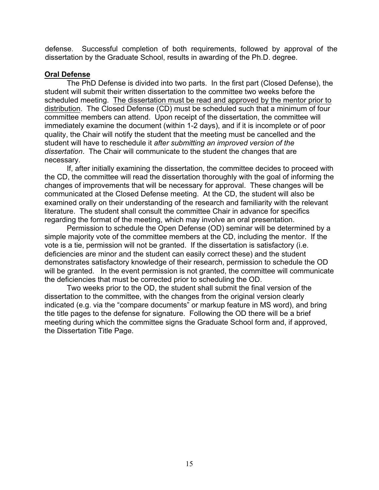defense. Successful completion of both requirements, followed by approval of the dissertation by the Graduate School, results in awarding of the Ph.D. degree.

#### **Oral Defense**

The PhD Defense is divided into two parts. In the first part (Closed Defense), the student will submit their written dissertation to the committee two weeks before the scheduled meeting. The dissertation must be read and approved by the mentor prior to distribution. The Closed Defense (CD) must be scheduled such that a minimum of four committee members can attend. Upon receipt of the dissertation, the committee will immediately examine the document (within 1-2 days), and if it is incomplete or of poor quality, the Chair will notify the student that the meeting must be cancelled and the student will have to reschedule it *after submitting an improved version of the dissertation*. The Chair will communicate to the student the changes that are necessary.

If, after initially examining the dissertation, the committee decides to proceed with the CD, the committee will read the dissertation thoroughly with the goal of informing the changes of improvements that will be necessary for approval. These changes will be communicated at the Closed Defense meeting. At the CD, the student will also be examined orally on their understanding of the research and familiarity with the relevant literature. The student shall consult the committee Chair in advance for specifics regarding the format of the meeting, which may involve an oral presentation.

Permission to schedule the Open Defense (OD) seminar will be determined by a simple majority vote of the committee members at the CD, including the mentor. If the vote is a tie, permission will not be granted. If the dissertation is satisfactory (i.e. deficiencies are minor and the student can easily correct these) and the student demonstrates satisfactory knowledge of their research, permission to schedule the OD will be granted. In the event permission is not granted, the committee will communicate the deficiencies that must be corrected prior to scheduling the OD.

Two weeks prior to the OD, the student shall submit the final version of the dissertation to the committee, with the changes from the original version clearly indicated (e.g. via the "compare documents" or markup feature in MS word), and bring the title pages to the defense for signature. Following the OD there will be a brief meeting during which the committee signs the Graduate School form and, if approved, the Dissertation Title Page.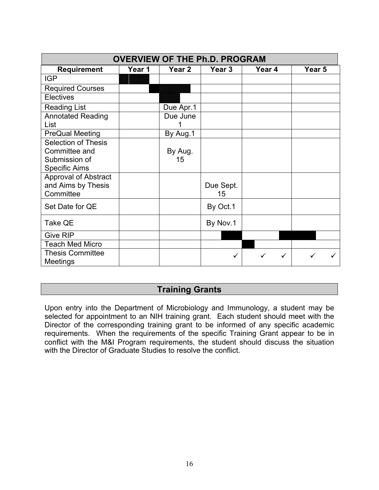| <b>OVERVIEW OF THE Ph.D. PROGRAM</b> |        |           |           |   |        |        |  |  |  |
|--------------------------------------|--------|-----------|-----------|---|--------|--------|--|--|--|
| <b>Requirement</b>                   | Year 1 | Year 2    | Year 3    |   | Year 4 | Year 5 |  |  |  |
| <b>IGP</b>                           |        |           |           |   |        |        |  |  |  |
| <b>Required Courses</b>              |        |           |           |   |        |        |  |  |  |
| <b>Electives</b>                     |        |           |           |   |        |        |  |  |  |
| <b>Reading List</b>                  |        | Due Apr.1 |           |   |        |        |  |  |  |
| <b>Annotated Reading</b>             |        | Due June  |           |   |        |        |  |  |  |
| List                                 |        |           |           |   |        |        |  |  |  |
| <b>PreQual Meeting</b>               |        | By Aug.1  |           |   |        |        |  |  |  |
| <b>Selection of Thesis</b>           |        |           |           |   |        |        |  |  |  |
| Committee and                        |        | By Aug.   |           |   |        |        |  |  |  |
| Submission of                        |        | 15        |           |   |        |        |  |  |  |
| <b>Specific Aims</b>                 |        |           |           |   |        |        |  |  |  |
| <b>Approval of Abstract</b>          |        |           |           |   |        |        |  |  |  |
| and Aims by Thesis                   |        |           | Due Sept. |   |        |        |  |  |  |
| Committee                            |        |           | 15        |   |        |        |  |  |  |
| Set Date for QE                      |        |           | By Oct.1  |   |        |        |  |  |  |
| <b>Take QE</b>                       |        |           | By Nov.1  |   |        |        |  |  |  |
| <b>Give RIP</b>                      |        |           |           |   |        |        |  |  |  |
| <b>Teach Med Micro</b>               |        |           |           |   |        |        |  |  |  |
| <b>Thesis Committee</b>              |        |           | ✓         | ✓ | ✓      | ✓      |  |  |  |
| Meetings                             |        |           |           |   |        |        |  |  |  |

## **Training Grants**

Upon entry into the Department of Microbiology and Immunology, a student may be selected for appointment to an NIH training grant. Each student should meet with the Director of the corresponding training grant to be informed of any specific academic requirements. When the requirements of the specific Training Grant appear to be in conflict with the M&I Program requirements, the student should discuss the situation with the Director of Graduate Studies to resolve the conflict.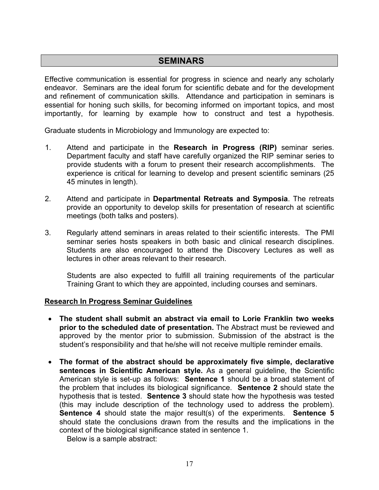## **SEMINARS**

Effective communication is essential for progress in science and nearly any scholarly endeavor. Seminars are the ideal forum for scientific debate and for the development and refinement of communication skills. Attendance and participation in seminars is essential for honing such skills, for becoming informed on important topics, and most importantly, for learning by example how to construct and test a hypothesis.

Graduate students in Microbiology and Immunology are expected to:

- 1. Attend and participate in the **Research in Progress (RIP)** seminar series. Department faculty and staff have carefully organized the RIP seminar series to provide students with a forum to present their research accomplishments. The experience is critical for learning to develop and present scientific seminars (25 45 minutes in length).
- 2. Attend and participate in **Departmental Retreats and Symposia**. The retreats provide an opportunity to develop skills for presentation of research at scientific meetings (both talks and posters).
- 3. Regularly attend seminars in areas related to their scientific interests. The PMI seminar series hosts speakers in both basic and clinical research disciplines. Students are also encouraged to attend the Discovery Lectures as well as lectures in other areas relevant to their research.

Students are also expected to fulfill all training requirements of the particular Training Grant to which they are appointed, including courses and seminars.

#### **Research In Progress Seminar Guidelines**

- **The student shall submit an abstract via email to Lorie Franklin two weeks prior to the scheduled date of presentation.** The Abstract must be reviewed and approved by the mentor prior to submission. Submission of the abstract is the student's responsibility and that he/she will not receive multiple reminder emails.
- **The format of the abstract should be approximately five simple, declarative sentences in Scientific American style.** As a general guideline, the Scientific American style is set-up as follows: **Sentence 1** should be a broad statement of the problem that includes its biological significance. **Sentence 2** should state the hypothesis that is tested. **Sentence 3** should state how the hypothesis was tested (this may include description of the technology used to address the problem). **Sentence 4** should state the major result(s) of the experiments. **Sentence 5** should state the conclusions drawn from the results and the implications in the context of the biological significance stated in sentence 1.

Below is a sample abstract: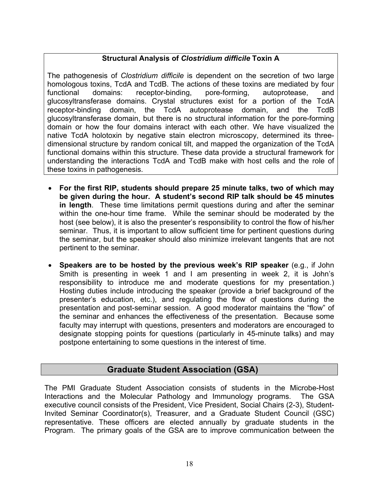#### **Structural Analysis of** *Clostridium difficile* **Toxin A**

The pathogenesis of *Clostridium difficile* is dependent on the secretion of two large homologous toxins, TcdA and TcdB. The actions of these toxins are mediated by four functional domains: receptor-binding, pore-forming, autoprotease, and glucosyltransferase domains. Crystal structures exist for a portion of the TcdA receptor-binding domain, the TcdA autoprotease domain, and the TcdB glucosyltransferase domain, but there is no structural information for the pore-forming domain or how the four domains interact with each other. We have visualized the native TcdA holotoxin by negative stain electron microscopy, determined its threedimensional structure by random conical tilt, and mapped the organization of the TcdA functional domains within this structure. These data provide a structural framework for understanding the interactions TcdA and TcdB make with host cells and the role of these toxins in pathogenesis.

- **For the first RIP, students should prepare 25 minute talks, two of which may be given during the hour. A student's second RIP talk should be 45 minutes in length**. These time limitations permit questions during and after the seminar within the one-hour time frame. While the seminar should be moderated by the host (see below), it is also the presenter's responsibility to control the flow of his/her seminar. Thus, it is important to allow sufficient time for pertinent questions during the seminar, but the speaker should also minimize irrelevant tangents that are not pertinent to the seminar.
- **Speakers are to be hosted by the previous week's RIP speaker** (e.g., if John Smith is presenting in week 1 and I am presenting in week 2, it is John's responsibility to introduce me and moderate questions for my presentation.) Hosting duties include introducing the speaker (provide a brief background of the presenter's education, etc.), and regulating the flow of questions during the presentation and post-seminar session. A good moderator maintains the "flow" of the seminar and enhances the effectiveness of the presentation. Because some faculty may interrupt with questions, presenters and moderators are encouraged to designate stopping points for questions (particularly in 45-minute talks) and may postpone entertaining to some questions in the interest of time.

## **Graduate Student Association (GSA)**

The PMI Graduate Student Association consists of students in the Microbe-Host Interactions and the Molecular Pathology and Immunology programs. The GSA executive council consists of the President, Vice President, Social Chairs (2-3), Student-Invited Seminar Coordinator(s), Treasurer, and a Graduate Student Council (GSC) representative. These officers are elected annually by graduate students in the Program. The primary goals of the GSA are to improve communication between the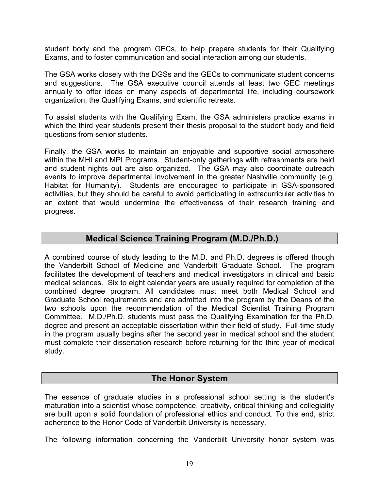student body and the program GECs, to help prepare students for their Qualifying Exams, and to foster communication and social interaction among our students.

The GSA works closely with the DGSs and the GECs to communicate student concerns and suggestions. The GSA executive council attends at least two GEC meetings annually to offer ideas on many aspects of departmental life, including coursework organization, the Qualifying Exams, and scientific retreats.

To assist students with the Qualifying Exam, the GSA administers practice exams in which the third year students present their thesis proposal to the student body and field questions from senior students.

Finally, the GSA works to maintain an enjoyable and supportive social atmosphere within the MHI and MPI Programs. Student-only gatherings with refreshments are held and student nights out are also organized. The GSA may also coordinate outreach events to improve departmental involvement in the greater Nashville community (e.g. Habitat for Humanity). Students are encouraged to participate in GSA-sponsored activities, but they should be careful to avoid participating in extracurricular activities to an extent that would undermine the effectiveness of their research training and progress.

#### **Medical Science Training Program (M.D./Ph.D.)**

A combined course of study leading to the M.D. and Ph.D. degrees is offered though the Vanderbilt School of Medicine and Vanderbilt Graduate School. The program facilitates the development of teachers and medical investigators in clinical and basic medical sciences. Six to eight calendar years are usually required for completion of the combined degree program. All candidates must meet both Medical School and Graduate School requirements and are admitted into the program by the Deans of the two schools upon the recommendation of the Medical Scientist Training Program Committee. M.D./Ph.D. students must pass the Qualifying Examination for the Ph.D. degree and present an acceptable dissertation within their field of study. Full-time study in the program usually begins after the second year in medical school and the student must complete their dissertation research before returning for the third year of medical study.

#### **The Honor System**

The essence of graduate studies in a professional school setting is the student's maturation into a scientist whose competence, creativity, critical thinking and collegiality are built upon a solid foundation of professional ethics and conduct. To this end, strict adherence to the Honor Code of Vanderbilt University is necessary.

The following information concerning the Vanderbilt University honor system was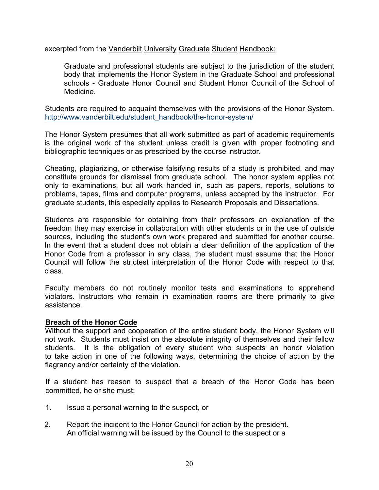excerpted from the Vanderbilt University Graduate Student Handbook:

Graduate and professional students are subject to the jurisdiction of the student body that implements the Honor System in the Graduate School and professional schools - Graduate Honor Council and Student Honor Council of the School of Medicine.

Students are required to acquaint themselves with the provisions of the Honor System. http://www.vanderbilt.edu/student\_handbook/the-honor-system/

The Honor System presumes that all work submitted as part of academic requirements is the original work of the student unless credit is given with proper footnoting and bibliographic techniques or as prescribed by the course instructor.

Cheating, plagiarizing, or otherwise falsifying results of a study is prohibited, and may constitute grounds for dismissal from graduate school. The honor system applies not only to examinations, but all work handed in, such as papers, reports, solutions to problems, tapes, films and computer programs, unless accepted by the instructor. For graduate students, this especially applies to Research Proposals and Dissertations.

Students are responsible for obtaining from their professors an explanation of the freedom they may exercise in collaboration with other students or in the use of outside sources, including the student's own work prepared and submitted for another course. In the event that a student does not obtain a clear definition of the application of the Honor Code from a professor in any class, the student must assume that the Honor Council will follow the strictest interpretation of the Honor Code with respect to that class.

Faculty members do not routinely monitor tests and examinations to apprehend violators. Instructors who remain in examination rooms are there primarily to give assistance.

#### **Breach of the Honor Code**

Without the support and cooperation of the entire student body, the Honor System will not work. Students must insist on the absolute integrity of themselves and their fellow students. It is the obligation of every student who suspects an honor violation to take action in one of the following ways, determining the choice of action by the flagrancy and/or certainty of the violation.

If a student has reason to suspect that a breach of the Honor Code has been committed, he or she must:

- 1. Issue a personal warning to the suspect, or
- 2. Report the incident to the Honor Council for action by the president. An official warning will be issued by the Council to the suspect or a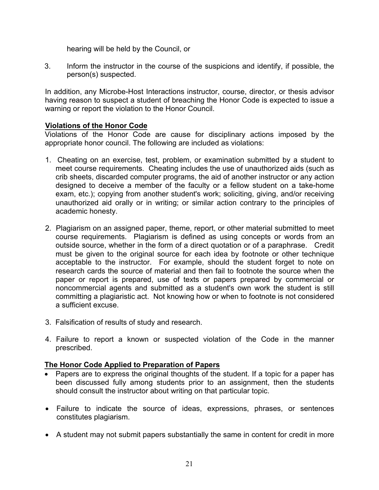hearing will be held by the Council, or

3. Inform the instructor in the course of the suspicions and identify, if possible, the person(s) suspected.

In addition, any Microbe-Host Interactions instructor, course, director, or thesis advisor having reason to suspect a student of breaching the Honor Code is expected to issue a warning or report the violation to the Honor Council.

#### **Violations of the Honor Code**

Violations of the Honor Code are cause for disciplinary actions imposed by the appropriate honor council. The following are included as violations:

- 1. Cheating on an exercise, test, problem, or examination submitted by a student to meet course requirements. Cheating includes the use of unauthorized aids (such as crib sheets, discarded computer programs, the aid of another instructor or any action designed to deceive a member of the faculty or a fellow student on a take-home exam, etc.); copying from another student's work; soliciting, giving, and/or receiving unauthorized aid orally or in writing; or similar action contrary to the principles of academic honesty.
- 2. Plagiarism on an assigned paper, theme, report, or other material submitted to meet course requirements. Plagiarism is defined as using concepts or words from an outside source, whether in the form of a direct quotation or of a paraphrase. Credit must be given to the original source for each idea by footnote or other technique acceptable to the instructor. For example, should the student forget to note on research cards the source of material and then fail to footnote the source when the paper or report is prepared, use of texts or papers prepared by commercial or noncommercial agents and submitted as a student's own work the student is still committing a plagiaristic act. Not knowing how or when to footnote is not considered a sufficient excuse.
- 3. Falsification of results of study and research.
- 4. Failure to report a known or suspected violation of the Code in the manner prescribed.

#### **The Honor Code Applied to Preparation of Papers**

- Papers are to express the original thoughts of the student. If a topic for a paper has been discussed fully among students prior to an assignment, then the students should consult the instructor about writing on that particular topic.
- Failure to indicate the source of ideas, expressions, phrases, or sentences constitutes plagiarism.
- A student may not submit papers substantially the same in content for credit in more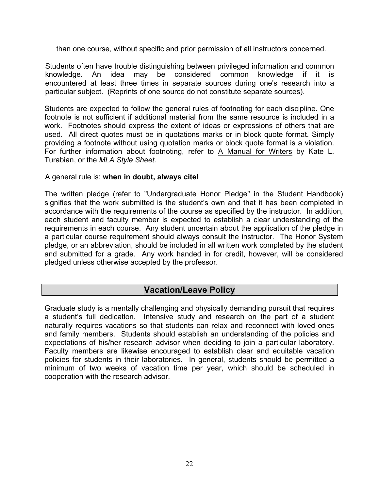than one course, without specific and prior permission of all instructors concerned.

Students often have trouble distinguishing between privileged information and common knowledge. An idea may be considered common knowledge if it is encountered at least three times in separate sources during one's research into a particular subject. (Reprints of one source do not constitute separate sources).

Students are expected to follow the general rules of footnoting for each discipline. One footnote is not sufficient if additional material from the same resource is included in a work. Footnotes should express the extent of ideas or expressions of others that are used. All direct quotes must be in quotations marks or in block quote format. Simply providing a footnote without using quotation marks or block quote format is a violation. For further information about footnoting, refer to A Manual for Writers by Kate L. Turabian, or the *MLA Style Sheet.*

#### A general rule is: **when in doubt, always cite!**

The written pledge (refer to "Undergraduate Honor Pledge" in the Student Handbook) signifies that the work submitted is the student's own and that it has been completed in accordance with the requirements of the course as specified by the instructor. In addition, each student and faculty member is expected to establish a clear understanding of the requirements in each course. Any student uncertain about the application of the pledge in a particular course requirement should always consult the instructor. The Honor System pledge, or an abbreviation, should be included in all written work completed by the student and submitted for a grade. Any work handed in for credit, however, will be considered pledged unless otherwise accepted by the professor.

## **Vacation/Leave Policy**

Graduate study is a mentally challenging and physically demanding pursuit that requires a student's full dedication. Intensive study and research on the part of a student naturally requires vacations so that students can relax and reconnect with loved ones and family members. Students should establish an understanding of the policies and expectations of his/her research advisor when deciding to join a particular laboratory. Faculty members are likewise encouraged to establish clear and equitable vacation policies for students in their laboratories. In general, students should be permitted a minimum of two weeks of vacation time per year, which should be scheduled in cooperation with the research advisor.